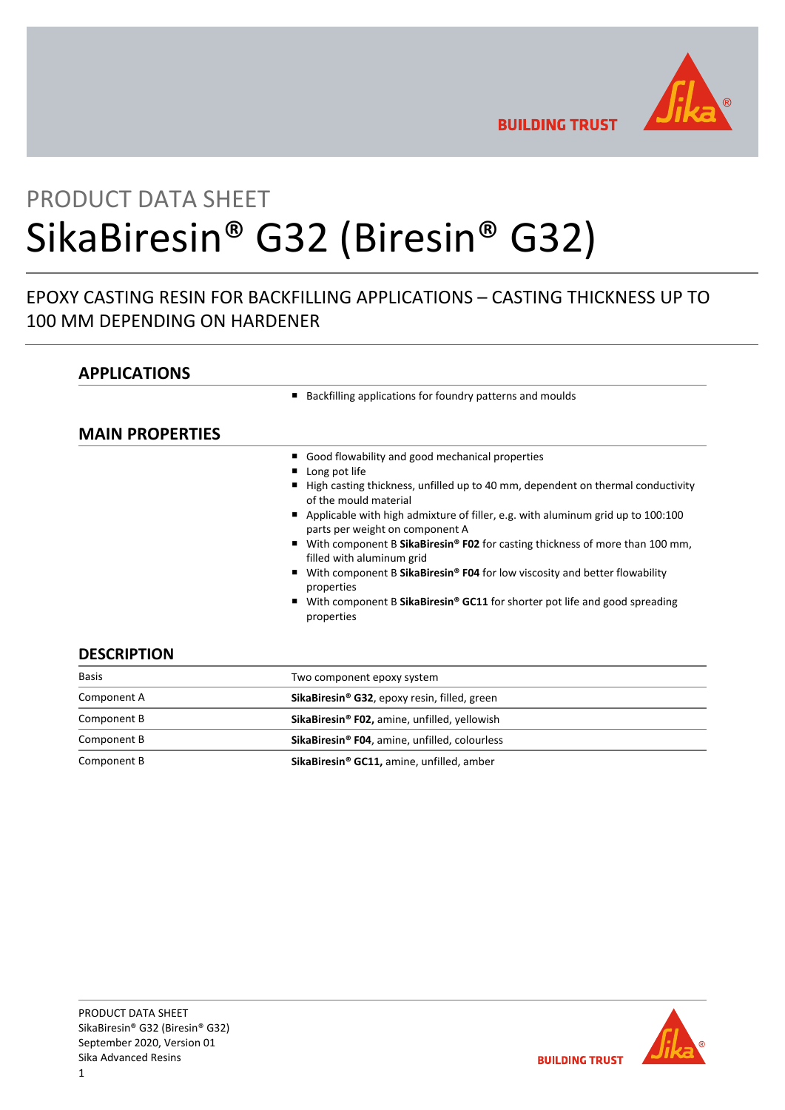

**BUILDING TRUST** 

# PRODUCT DATA SHEET SikaBiresin® G32 (Biresin® G32)

# EPOXY CASTING RESIN FOR BACKFILLING APPLICATIONS – CASTING THICKNESS UP TO 100 MM DEPENDING ON HARDENER

## **APPLICATIONS**

■ Backfilling applications for foundry patterns and moulds

## **MAIN PROPERTIES**

|                    | Good flowability and good mechanical properties<br>■ Long pot life<br>High casting thickness, unfilled up to 40 mm, dependent on thermal conductivity<br>of the mould material<br>Applicable with high admixture of filler, e.g. with aluminum grid up to 100:100<br>$\blacksquare$<br>parts per weight on component A<br>■ With component B SikaBiresin® F02 for casting thickness of more than 100 mm,<br>filled with aluminum grid<br>With component B SikaBiresin <sup>®</sup> F04 for low viscosity and better flowability<br>п.<br>properties<br>With component B SikaBiresin <sup>®</sup> GC11 for shorter pot life and good spreading<br>properties |
|--------------------|-------------------------------------------------------------------------------------------------------------------------------------------------------------------------------------------------------------------------------------------------------------------------------------------------------------------------------------------------------------------------------------------------------------------------------------------------------------------------------------------------------------------------------------------------------------------------------------------------------------------------------------------------------------|
| <b>DESCRIPTION</b> |                                                                                                                                                                                                                                                                                                                                                                                                                                                                                                                                                                                                                                                             |

| <b>Basis</b> | Two component epoxy system                                |  |  |
|--------------|-----------------------------------------------------------|--|--|
| Component A  | SikaBiresin <sup>®</sup> G32, epoxy resin, filled, green  |  |  |
| Component B  | SikaBiresin <sup>®</sup> F02, amine, unfilled, yellowish  |  |  |
| Component B  | SikaBiresin <sup>®</sup> F04, amine, unfilled, colourless |  |  |
| Component B  | SikaBiresin® GC11, amine, unfilled, amber                 |  |  |

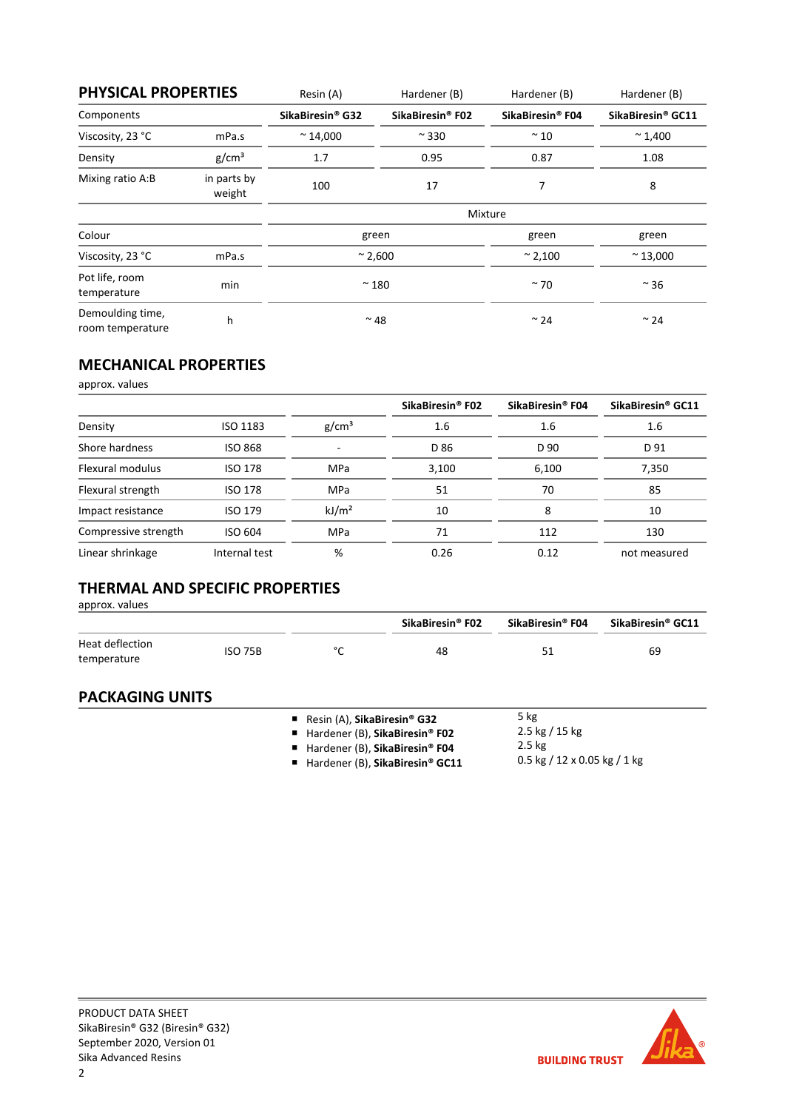| <b>PHYSICAL PROPERTIES</b>           |                       | Resin (A)                    | Hardener (B)                 | Hardener (B)                 | Hardener (B)      |
|--------------------------------------|-----------------------|------------------------------|------------------------------|------------------------------|-------------------|
| Components                           |                       | SikaBiresin <sup>®</sup> G32 | SikaBiresin <sup>®</sup> F02 | SikaBiresin <sup>®</sup> F04 | SikaBiresin® GC11 |
| Viscosity, 23 °C                     | mPa.s                 | $~^{\sim}$ 14,000            | $~\sim$ 330                  | $\sim$ 10                    | $~^{\sim}$ 1,400  |
| Density                              | g/cm <sup>3</sup>     | 1.7                          | 0.95                         | 0.87                         | 1.08              |
| Mixing ratio A:B                     | in parts by<br>weight | 100                          | 17                           | 7                            | 8                 |
|                                      |                       | Mixture                      |                              |                              |                   |
| Colour                               |                       | green                        |                              | green                        | green             |
| Viscosity, 23 °C                     | mPa.s                 | $\approx$ 2,600              |                              | $~^{\sim}$ 2,100             | $~^{\sim}$ 13,000 |
| Pot life, room<br>temperature        | min                   | $~^{\sim}$ 180               |                              | $~\sim$ 70                   | $~\sim$ 36        |
| Demoulding time,<br>room temperature | h                     | $~^{\sim}$ 48                |                              | $~\sim$ 24                   | $~\sim$ 24        |

## **MECHANICAL PROPERTIES**

approx. values

|                      |                |                   | SikaBiresin <sup>®</sup> F02 | SikaBiresin <sup>®</sup> F04 | SikaBiresin <sup>®</sup> GC11 |
|----------------------|----------------|-------------------|------------------------------|------------------------------|-------------------------------|
| Density              | ISO 1183       | g/cm <sup>3</sup> | 1.6                          | 1.6                          | 1.6                           |
| Shore hardness       | <b>ISO 868</b> |                   | D 86                         | D 90                         | D 91                          |
| Flexural modulus     | <b>ISO 178</b> | <b>MPa</b>        | 3,100                        | 6,100                        | 7,350                         |
| Flexural strength    | <b>ISO 178</b> | <b>MPa</b>        | 51                           | 70                           | 85                            |
| Impact resistance    | ISO 179        | kJ/m <sup>2</sup> | 10                           | 8                            | 10                            |
| Compressive strength | ISO 604        | <b>MPa</b>        | 71                           | 112                          | 130                           |
| Linear shrinkage     | Internal test  | %                 | 0.26                         | 0.12                         | not measured                  |

# **THERMAL AND SPECIFIC PROPERTIES**

approx. values

|                                |         |        | SikaBiresin <sup>®</sup> F02 | SikaBiresin <sup>®</sup> F04 | SikaBiresin® GC11 |
|--------------------------------|---------|--------|------------------------------|------------------------------|-------------------|
| Heat deflection<br>temperature | ISO 75B | $\sim$ | 48                           |                              | 69                |

## **PACKAGING UNITS**

- Resin (A), **SikaBiresin® G32**
- Hardener (B), **SikaBiresin<sup>®</sup> F02** ■ Hardener (B), **SikaBiresin<sup>®</sup> F04**
- $\frac{1}{5 \text{ kg}}$ 2.5 kg / 15 kg
- 
- 2.5 kg 0.5 kg / 12 x 0.05 kg / 1 kg
- Hardener (B), SikaBiresin<sup>®</sup> GC11

**BUILDING TRUST**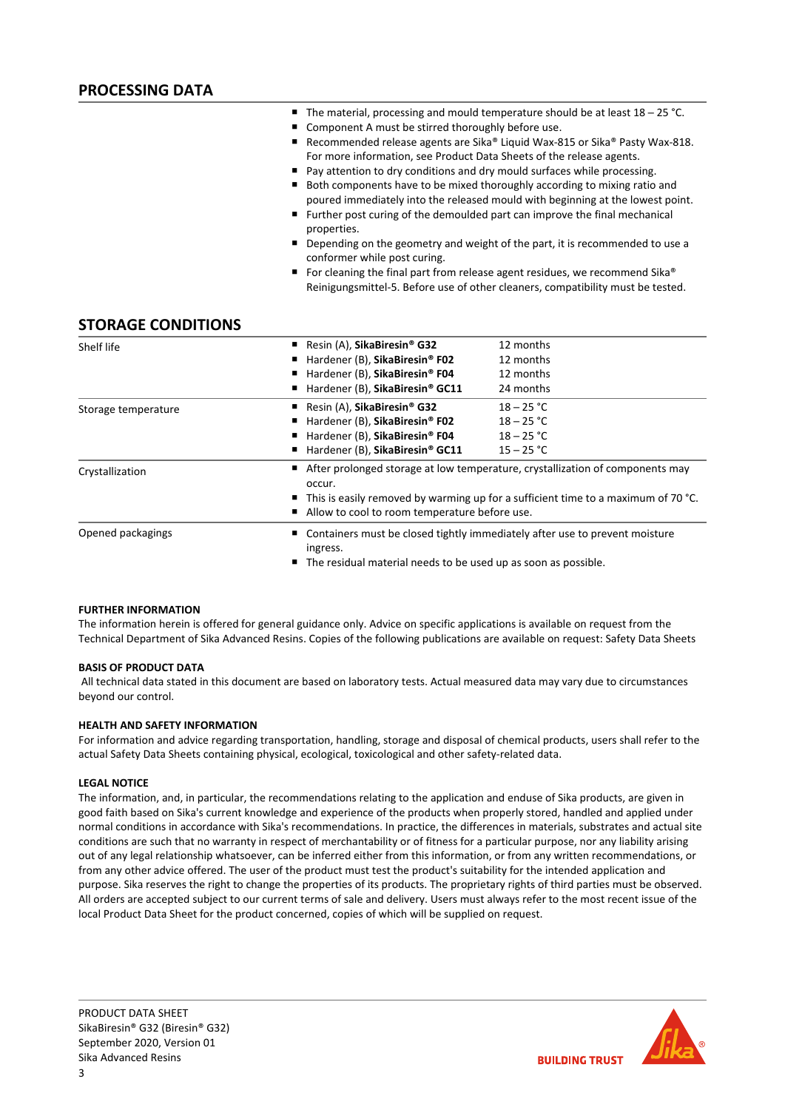- The material, processing and mould temperature should be at least 18 25 °C.
- Component A must be stirred thoroughly before use.
- Recommended release agents are Sika® Liquid Wax-815 or Sika® Pasty Wax-818. For more information, see Product Data Sheets of the release agents.
- Pay attention to dry conditions and dry mould surfaces while processing.
- Both components have to be mixed thoroughly according to mixing ratio and poured immediately into the released mould with beginning at the lowest point.
- Further post curing of the demoulded part can improve the final mechanical properties.
- Depending on the geometry and weight of the part, it is recommended to use a conformer while post curing.
- For cleaning the final part from release agent residues, we recommend Sika® Reinigungsmittel‐5. Before use of other cleaners, compatibility must be tested.

## **STORAGE CONDITIONS**

| Shelf life          | Resin (A), SikaBiresin <sup>®</sup> G32                                                                                                                                                          | 12 months    |  |  |
|---------------------|--------------------------------------------------------------------------------------------------------------------------------------------------------------------------------------------------|--------------|--|--|
|                     | Hardener (B), SikaBiresin® F02<br>п                                                                                                                                                              | 12 months    |  |  |
|                     | Hardener (B), SikaBiresin® F04<br>п                                                                                                                                                              | 12 months    |  |  |
|                     | Hardener (B), SikaBiresin® GC11<br>п                                                                                                                                                             | 24 months    |  |  |
| Storage temperature | Resin (A), SikaBiresin® G32<br>■                                                                                                                                                                 | $18 - 25 °C$ |  |  |
|                     | Hardener (B), SikaBiresin® F02                                                                                                                                                                   | $18 - 25 °C$ |  |  |
|                     | Hardener (B), SikaBiresin® F04<br>п                                                                                                                                                              | $18 - 25 °C$ |  |  |
|                     | Hardener (B), SikaBiresin® GC11<br>п                                                                                                                                                             | $15 - 25 °C$ |  |  |
| Crystallization     | After prolonged storage at low temperature, crystallization of components may<br>п<br>occur.<br>$\blacksquare$ This is easily removed by warming up for a sufficient time to a maximum of 70 °C. |              |  |  |
|                     | Allow to cool to room temperature before use.<br>п                                                                                                                                               |              |  |  |
| Opened packagings   | ■ Containers must be closed tightly immediately after use to prevent moisture<br>ingress.                                                                                                        |              |  |  |
|                     | ■ The residual material needs to be used up as soon as possible.                                                                                                                                 |              |  |  |

#### **FURTHER INFORMATION**

The information herein is offered for general guidance only. Advice on specific applications is available on request from the Technical Department of Sika Advanced Resins. Copies of the following publications are available on request: Safety Data Sheets

#### **BASIS OF PRODUCT DATA**

All technical data stated in this document are based on laboratory tests. Actual measured data may vary due to circumstances beyond our control.

#### **HEALTH AND SAFETY INFORMATION**

For information and advice regarding transportation, handling, storage and disposal of chemical products, users shall refer to the actual Safety Data Sheets containing physical, ecological, toxicological and other safety‐related data.

#### **LEGAL NOTICE**

The information, and, in particular, the recommendations relating to the application and enduse of Sika products, are given in good faith based on Sika's current knowledge and experience of the products when properly stored, handled and applied under normal conditions in accordance with Sika's recommendations. In practice, the differences in materials, substrates and actual site conditions are such that no warranty in respect of merchantability or of fitness for a particular purpose, nor any liability arising out of any legal relationship whatsoever, can be inferred either from this information, or from any written recommendations, or from any other advice offered. The user of the product must test the product's suitability for the intended application and purpose. Sika reserves the right to change the properties of its products. The proprietary rights of third parties must be observed. All orders are accepted subject to our current terms of sale and delivery. Users must always refer to the most recent issue of the local Product Data Sheet for the product concerned, copies of which will be supplied on request.